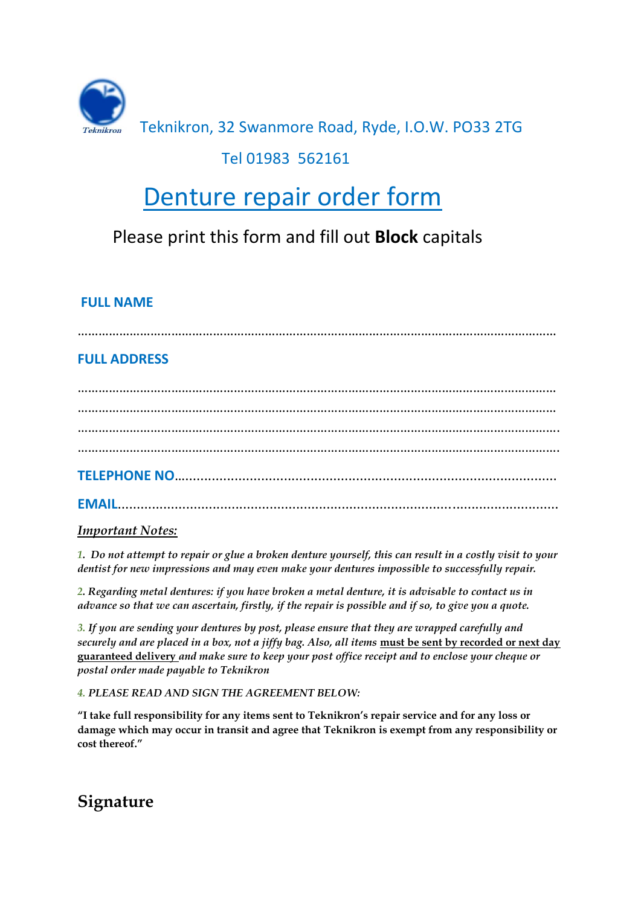

### Teknikron, 32 Swanmore Road, Ryde, I.O.W. PO33 2TG

### Tel 01983 562161

# Denture repair order form

# Please print this form and fill out **Block** capitals

#### **FULL NAME**

…………………………………………………………………………………………………………………………

#### **FULL ADDRESS**

………………………………………………………………………………………………………………………… ………………………………………………………………………………………………………………………… …………………………………………………………………………………………………………………………. **TELEPHONE NO**…..................................................................................................

**EMAIL**....................................................................................................................

#### *Important Notes:*

*1. Do not attempt to repair or glue a broken denture yourself, this can result in a costly visit to your dentist for new impressions and may even make your dentures impossible to successfully repair.*

*2. Regarding metal dentures: if you have broken a metal denture, it is advisable to contact us in advance so that we can ascertain, firstly, if the repair is possible and if so, to give you a quote.*

*3. If you are sending your dentures by post, please ensure that they are wrapped carefully and securely and are placed in a box, not a jiffy bag. Also, all items* **must be sent by recorded or next day guaranteed delivery** *and make sure to keep your post office receipt and to enclose your cheque or postal order made payable to Teknikron*

*4. PLEASE READ AND SIGN THE AGREEMENT BELOW:*

**"I take full responsibility for any items sent to Teknikron's repair service and for any loss or damage which may occur in transit and agree that Teknikron is exempt from any responsibility or cost thereof."** 

**Signature**